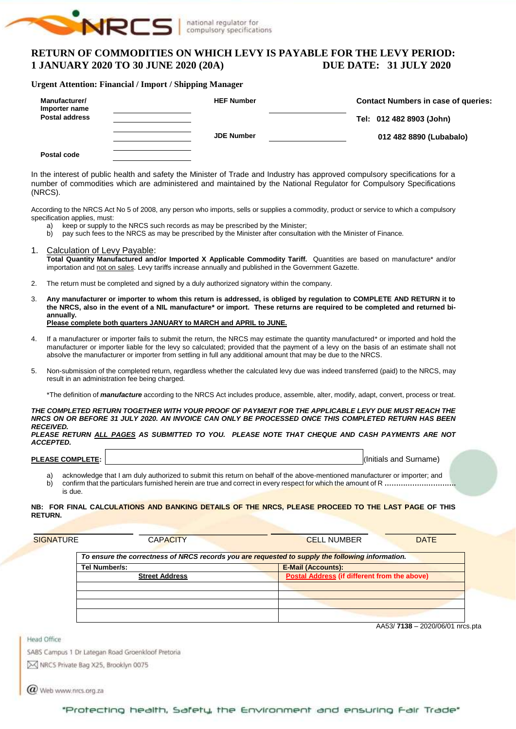

### **RETURN OF COMMODITIES ON WHICH LEVY IS PAYABLE FOR THE LEVY PERIOD: 1 JANUARY 2020 TO 30 JUNE 2020 (20A) DUE DATE: 31 JULY 2020**

#### **Urgent Attention: Financial / Import / Shipping Manager**

| Manufacturer/<br>Importer name | <b>HEF Number</b> | <b>Contact Numbers in case of queries:</b> |  |  |  |  |
|--------------------------------|-------------------|--------------------------------------------|--|--|--|--|
| <b>Postal address</b>          |                   | Tel: 012 482 8903 (John)                   |  |  |  |  |
|                                | <b>JDE Number</b> | 012 482 8890 (Lubabalo)                    |  |  |  |  |
| Postal code                    |                   |                                            |  |  |  |  |

In the interest of public health and safety the Minister of Trade and Industry has approved compulsory specifications for a number of commodities which are administered and maintained by the National Regulator for Compulsory Specifications (NRCS).

According to the NRCS Act No 5 of 2008, any person who imports, sells or supplies a commodity, product or service to which a compulsory specification applies, must:

- a) keep or supply to the NRCS such records as may be prescribed by the Minister;
- b) pay such fees to the NRCS as may be prescribed by the Minister after consultation with the Minister of Finance.
- 1. Calculation of Levy Payable: **Total Quantity Manufactured and/or Imported X Applicable Commodity Tariff.** Quantities are based on manufacture\* and/or importation and not on sales. Levy tariffs increase annually and published in the Government Gazette.
- 2. The return must be completed and signed by a duly authorized signatory within the company.
- 3. **Any manufacturer or importer to whom this return is addressed, is obliged by regulation to COMPLETE AND RETURN it to the NRCS, also in the event of a NIL manufacture\* or import. These returns are required to be completed and returned biannually. Please complete both quarters JANUARY to MARCH and APRIL to JUNE.**
- If a manufacturer or importer fails to submit the return, the NRCS may estimate the quantity manufactured\* or imported and hold the manufacturer or importer liable for the levy so calculated; provided that the payment of a levy on the basis of an estimate shall not absolve the manufacturer or importer from settling in full any additional amount that may be due to the NRCS.
- 5. Non-submission of the completed return, regardless whether the calculated levy due was indeed transferred (paid) to the NRCS, may result in an administration fee being charged.

\*The definition of *manufacture* according to the NRCS Act includes produce, assemble, alter, modify, adapt, convert, process or treat.

*THE COMPLETED RETURN TOGETHER WITH YOUR PROOF OF PAYMENT FOR THE APPLICABLE LEVY DUE MUST REACH THE NRCS ON OR BEFORE 31 JULY 2020. AN INVOICE CAN ONLY BE PROCESSED ONCE THIS COMPLETED RETURN HAS BEEN RECEIVED.*

*PLEASE RETURN ALL PAGES AS SUBMITTED TO YOU. PLEASE NOTE THAT CHEQUE AND CASH PAYMENTS ARE NOT ACCEPTED.*

**PLEASE COMPLETE:** I, (Initials and Surname)

a) acknowledge that I am duly authorized to submit this return on behalf of the above-mentioned manufacturer or importer; and b) confirm that the particulars furnished herein are true and correct in every respect for which the amount of R **………………………….** is due.

#### **NB: FOR FINAL CALCULATIONS AND BANKING DETAILS OF THE NRCS, PLEASE PROCEED TO THE LAST PAGE OF THIS RETURN.**

| <b>SIGNATURE</b> | <b>CAPACITY</b>       | <b>DATE</b><br><b>CELL NUMBER</b>                                                                |
|------------------|-----------------------|--------------------------------------------------------------------------------------------------|
|                  |                       | To ensure the correctness of NRCS records you are requested to supply the following information. |
| Tel Number/s:    |                       | <b>E-Mail (Accounts):</b>                                                                        |
|                  | <b>Street Address</b> | <b>Postal Address (if different from the above)</b>                                              |
|                  |                       |                                                                                                  |
|                  |                       |                                                                                                  |
|                  |                       |                                                                                                  |
|                  |                       |                                                                                                  |
|                  |                       |                                                                                                  |

AA53/ **7138** – 2020/06/01 nrcs.pta

**Head Office** 

SABS Campus 1 Dr Lategan Road Groenkloof Pretoria

M NRCS Private Bag X25, Brooklyn 0075

 $\bm{a}$  Web www.nrcs.org.za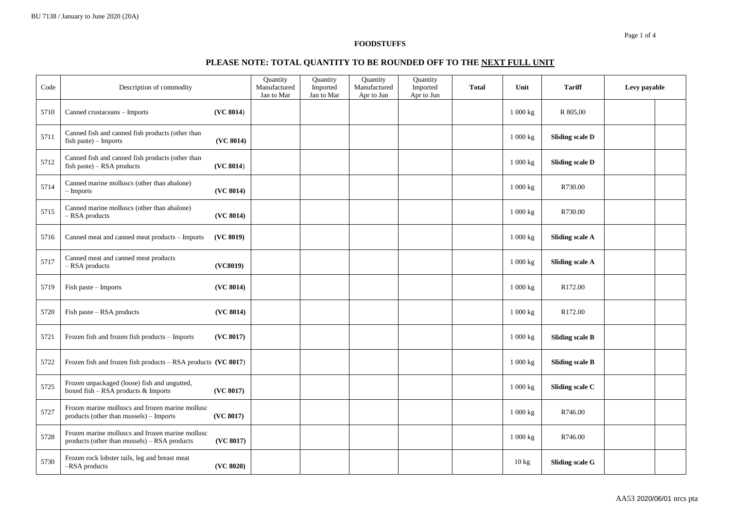### **PLEASE NOTE: TOTAL QUANTITY TO BE ROUNDED OFF TO THE NEXT FULL UNIT**

| Code | Description of commodity                                                                         |           | <b>Quantity</b><br>Manufactured<br>Jan to Mar | Quantity<br>Imported<br>Jan to Mar | Quantity<br>Manufactured<br>Apr to Jun | Quantity<br>Imported<br>Apr to Jun | <b>Total</b> | Unit     | <b>Tariff</b><br>Levy payable |  |  |
|------|--------------------------------------------------------------------------------------------------|-----------|-----------------------------------------------|------------------------------------|----------------------------------------|------------------------------------|--------------|----------|-------------------------------|--|--|
| 5710 | Canned crustaceans - Imports                                                                     | (VC 8014) |                                               |                                    |                                        |                                    |              | 1 000 kg | R 805,00                      |  |  |
| 5711 | Canned fish and canned fish products (other than<br>$fish$ paste) – Imports                      | (VC 8014) |                                               |                                    |                                        |                                    |              | 1 000 kg | <b>Sliding scale D</b>        |  |  |
| 5712 | Canned fish and canned fish products (other than<br>$fish$ paste) – RSA products                 | (VC 8014) |                                               |                                    |                                        |                                    |              | 1 000 kg | <b>Sliding scale D</b>        |  |  |
| 5714 | Canned marine molluscs (other than abalone)<br>- Imports                                         | (VC 8014) |                                               |                                    |                                        |                                    |              | 1 000 kg | R730.00                       |  |  |
| 5715 | Canned marine molluscs (other than abalone)<br>- RSA products                                    | (VC 8014) |                                               |                                    |                                        |                                    |              | 1 000 kg | R730.00                       |  |  |
| 5716 | Canned meat and canned meat products - Imports                                                   | (VC 8019) |                                               |                                    |                                        |                                    |              | 1 000 kg | <b>Sliding scale A</b>        |  |  |
| 5717 | Canned meat and canned meat products<br>- RSA products                                           | (VC8019)  |                                               |                                    |                                        |                                    |              | 1 000 kg | <b>Sliding scale A</b>        |  |  |
| 5719 | Fish paste - Imports                                                                             | (VC 8014) |                                               |                                    |                                        |                                    |              | 1 000 kg | R172.00                       |  |  |
| 5720 | Fish paste - RSA products                                                                        | (VC 8014) |                                               |                                    |                                        |                                    |              | 1 000 kg | R172.00                       |  |  |
| 5721 | Frozen fish and frozen fish products - Imports                                                   | (VC 8017) |                                               |                                    |                                        |                                    |              | 1 000 kg | <b>Sliding scale B</b>        |  |  |
| 5722 | Frozen fish and frozen fish products - RSA products (VC 8017)                                    |           |                                               |                                    |                                        |                                    |              | 1 000 kg | <b>Sliding scale B</b>        |  |  |
| 5725 | Frozen unpackaged (loose) fish and ungutted,<br>boxed fish - RSA products & Imports              | (VC 8017) |                                               |                                    |                                        |                                    |              | 1 000 kg | Sliding scale C               |  |  |
| 5727 | Frozen marine molluscs and frozen marine mollusc<br>products (other than mussels) – Imports      | (VC 8017) |                                               |                                    |                                        |                                    |              | 1 000 kg | R746.00                       |  |  |
| 5728 | Frozen marine molluscs and frozen marine mollusc<br>products (other than mussels) – RSA products | (VC 8017) |                                               |                                    |                                        |                                    |              | 1 000 kg | R746.00                       |  |  |
| 5730 | Frozen rock lobster tails, leg and breast meat<br>-RSA products                                  | (VC 8020) |                                               |                                    |                                        |                                    |              | 10 kg    | <b>Sliding scale G</b>        |  |  |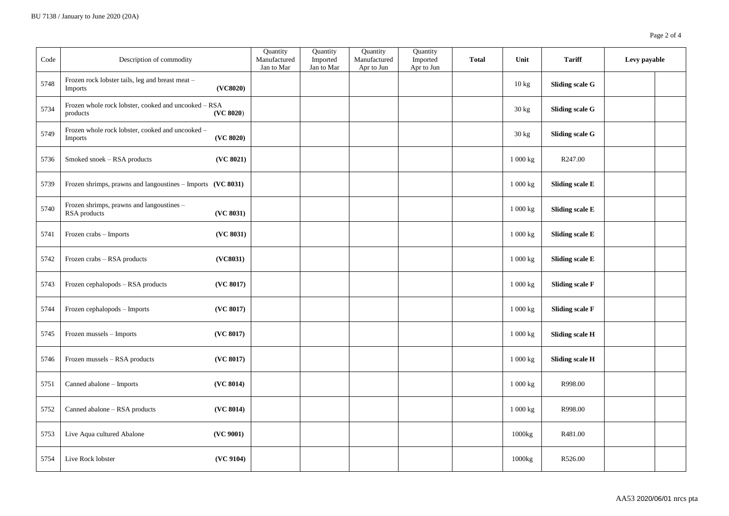| Code | Description of commodity                                           |           | Quantity<br>Manufactured<br>Jan to Mar | Quantity<br>Imported<br>Jan to Mar | Quantity<br>Manufactured<br>Apr to Jun | Quantity<br>Imported<br>Apr to Jun | <b>Total</b> | Unit                  | <b>Tariff</b>          | Levy payable |  |
|------|--------------------------------------------------------------------|-----------|----------------------------------------|------------------------------------|----------------------------------------|------------------------------------|--------------|-----------------------|------------------------|--------------|--|
| 5748 | Frozen rock lobster tails, leg and breast meat -<br><b>Imports</b> | (VC8020)  |                                        |                                    |                                        |                                    |              | 10 kg                 | <b>Sliding scale G</b> |              |  |
| 5734 | Frozen whole rock lobster, cooked and uncooked - RSA<br>products   | (VC 8020) |                                        |                                    |                                        |                                    |              | 30 kg                 | <b>Sliding scale G</b> |              |  |
| 5749 | Frozen whole rock lobster, cooked and uncooked -<br>Imports        | (VC 8020) |                                        |                                    |                                        |                                    |              | 30 kg                 | <b>Sliding scale G</b> |              |  |
| 5736 | Smoked snoek - RSA products                                        | (VC 8021) |                                        |                                    |                                        |                                    |              | 1 000 kg              | R247.00                |              |  |
| 5739 | Frozen shrimps, prawns and langoustines - Imports (VC 8031)        |           |                                        |                                    |                                        |                                    |              | 1 000 kg              | <b>Sliding scale E</b> |              |  |
| 5740 | Frozen shrimps, prawns and langoustines -<br>RSA products          | (VC 8031) |                                        |                                    |                                        |                                    |              | 1 000 kg              | <b>Sliding scale E</b> |              |  |
| 5741 | Frozen crabs - Imports                                             | (VC 8031) |                                        |                                    |                                        |                                    |              | $1\ 000\ \mathrm{kg}$ | Sliding scale E        |              |  |
| 5742 | Frozen crabs - RSA products                                        | (VC8031)  |                                        |                                    |                                        |                                    |              | 1 000 kg              | <b>Sliding scale E</b> |              |  |
| 5743 | Frozen cephalopods - RSA products                                  | (VC 8017) |                                        |                                    |                                        |                                    |              | 1 000 kg              | <b>Sliding scale F</b> |              |  |
| 5744 | Frozen cephalopods - Imports                                       | (VC 8017) |                                        |                                    |                                        |                                    |              | 1 000 kg              | <b>Sliding scale F</b> |              |  |
| 5745 | Frozen mussels - Imports                                           | (VC 8017) |                                        |                                    |                                        |                                    |              | 1 000 kg              | <b>Sliding scale H</b> |              |  |
| 5746 | Frozen mussels - RSA products                                      | (VC 8017) |                                        |                                    |                                        |                                    |              | 1 000 kg              | <b>Sliding scale H</b> |              |  |
| 5751 | Canned abalone - Imports                                           | (VC 8014) |                                        |                                    |                                        |                                    |              | 1 000 kg              | R998.00                |              |  |
| 5752 | Canned abalone - RSA products                                      | (VC 8014) |                                        |                                    |                                        |                                    |              | 1 000 kg              | R998.00                |              |  |
| 5753 | Live Aqua cultured Abalone                                         | (VC 9001) |                                        |                                    |                                        |                                    |              | 1000kg                | R481.00                |              |  |
| 5754 | Live Rock lobster                                                  | (VC 9104) |                                        |                                    |                                        |                                    |              | 1000kg                | R526.00                |              |  |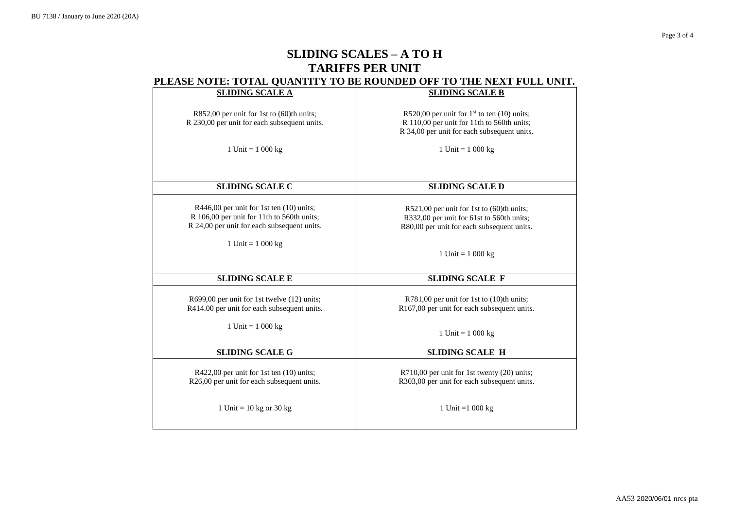## **SLIDING SCALES – A TO H TARIFFS PER UNIT PLEASE NOTE: TOTAL QUANTITY TO BE ROUNDED OFF TO THE NEXT FULL UNIT.**

| <i>AND ROLD, TO MAD QUARTER TO BE ROURDED</i><br><b>SLIDING SCALE A</b>                                                                                         | <b>SLIDING SCALE B</b>                                                                                                                     |
|-----------------------------------------------------------------------------------------------------------------------------------------------------------------|--------------------------------------------------------------------------------------------------------------------------------------------|
|                                                                                                                                                                 |                                                                                                                                            |
| R852,00 per unit for 1st to (60)th units;<br>R 230,00 per unit for each subsequent units.                                                                       | R520,00 per unit for $1st$ to ten (10) units;<br>R 110,00 per unit for 11th to 560th units;<br>R 34,00 per unit for each subsequent units. |
| 1 Unit = $1000 \text{ kg}$                                                                                                                                      | 1 Unit = $1000 kg$                                                                                                                         |
| <b>SLIDING SCALE C</b>                                                                                                                                          | <b>SLIDING SCALE D</b>                                                                                                                     |
| $R446,00$ per unit for 1st ten $(10)$ units;<br>R 106,00 per unit for 11th to 560th units;<br>R 24,00 per unit for each subsequent units.<br>1 Unit = $1000 kg$ | $R521,00$ per unit for 1st to $(60)$ th units;<br>R332,00 per unit for 61st to 560th units;<br>R80,00 per unit for each subsequent units.  |
|                                                                                                                                                                 | 1 Unit = $1000 kg$                                                                                                                         |
| <b>SLIDING SCALE E</b>                                                                                                                                          | <b>SLIDING SCALE F</b>                                                                                                                     |
| R699,00 per unit for 1st twelve (12) units;<br>R414.00 per unit for each subsequent units.                                                                      | R781,00 per unit for 1st to (10)th units;<br>R167,00 per unit for each subsequent units.                                                   |
| 1 Unit = $1000 \text{ kg}$                                                                                                                                      | 1 Unit = $1\ 000 \text{ kg}$                                                                                                               |
| <b>SLIDING SCALE G</b>                                                                                                                                          | <b>SLIDING SCALE H</b>                                                                                                                     |
| $R422,00$ per unit for 1st ten $(10)$ units;<br>R26,00 per unit for each subsequent units.                                                                      | R710,00 per unit for 1st twenty (20) units;<br>R303,00 per unit for each subsequent units.                                                 |
| 1 Unit = $10$ kg or $30$ kg                                                                                                                                     | 1 Unit = $1000 \text{ kg}$                                                                                                                 |